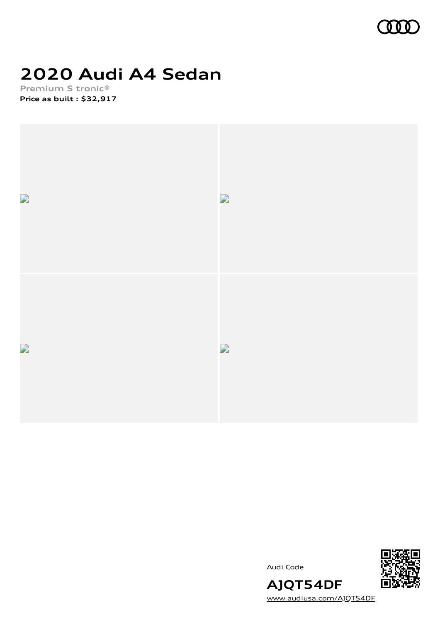

# **2020 Audi A4 Sedan**

**Premium S tronic® Price as built [:](#page-8-0) \$32,917**



Audi Code



**AJQT54DF** [www.audiusa.com/AJQT54DF](https://www.audiusa.com/AJQT54DF)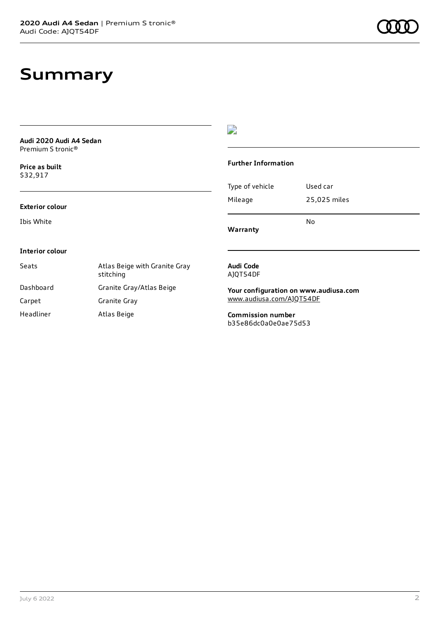# **Summary**

| Audi 2020 Audi A4 Sedan<br>Premium S tronic <sup>®</sup> |                                            |                                                  |              |
|----------------------------------------------------------|--------------------------------------------|--------------------------------------------------|--------------|
| Price as built<br>\$32,917                               |                                            | <b>Further Information</b>                       |              |
|                                                          |                                            | Type of vehicle                                  | Used car     |
| <b>Exterior colour</b>                                   |                                            | Mileage                                          | 25,025 miles |
| Ibis White                                               |                                            | Warranty                                         | No           |
| Interior colour                                          |                                            |                                                  |              |
| Seats                                                    | Atlas Beige with Granite Gray<br>stitching | Audi Code<br>AJQT54DF                            |              |
| Dashboard                                                | Granite Gray/Atlas Beige                   | Your configuration on www.audiusa.com            |              |
| Carpet                                                   | Granite Gray                               | www.audiusa.com/AJQT54DF                         |              |
| Headliner                                                | Atlas Beige                                | <b>Commission number</b><br>b35e86dc0a0e0ae75d53 |              |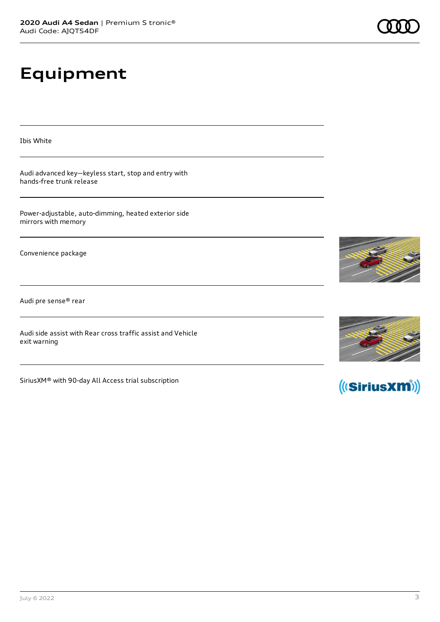# **Equipment**

Ibis White

Audi advanced key—keyless start, stop and entry with hands-free trunk release

Power-adjustable, auto-dimming, heated exterior side mirrors with memory

Convenience package

Audi pre sense® rear

Audi side assist with Rear cross traffic assist and Vehicle exit warning

SiriusXM® with 90-day All Access trial subscription







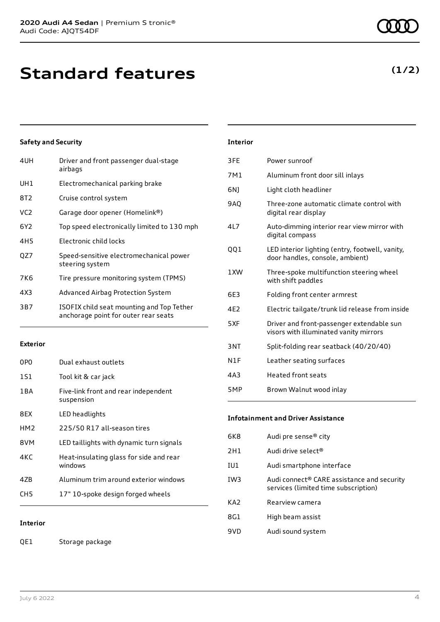| 4UH             | Driver and front passenger dual-stage<br>airbags                                  |
|-----------------|-----------------------------------------------------------------------------------|
| UH1             | Electromechanical parking brake                                                   |
| 8T2             | Cruise control system                                                             |
| VC <sub>2</sub> | Garage door opener (Homelink®)                                                    |
| 6Y2             | Top speed electronically limited to 130 mph                                       |
| 4H <sub>5</sub> | Electronic child locks                                                            |
| QZ7             | Speed-sensitive electromechanical power<br>steering system                        |
| 7K6             | Tire pressure monitoring system (TPMS)                                            |
| 4X3             | Advanced Airbag Protection System                                                 |
| 3B7             | ISOFIX child seat mounting and Top Tether<br>anchorage point for outer rear seats |

### **Exterior**

| 0P <sub>0</sub> | Dual exhaust outlets                               |
|-----------------|----------------------------------------------------|
| 1S1             | Tool kit & car jack                                |
| 1 B A           | Five-link front and rear independent<br>suspension |
| 8EX             | LED headlights                                     |
| HM <sub>2</sub> | 225/50 R17 all-season tires                        |
| 8VM             | LED taillights with dynamic turn signals           |
| 4KC             | Heat-insulating glass for side and rear<br>windows |
| 47B             | Aluminum trim around exterior windows              |
| CH5             | 17" 10-spoke design forged wheels                  |

### **Interior**

QE1 Storage package

| 3FE             | Power sunroof                                                                       |
|-----------------|-------------------------------------------------------------------------------------|
| 7M1             | Aluminum front door sill inlays                                                     |
| 6N1             | Light cloth headliner                                                               |
| 9AQ             | Three-zone automatic climate control with<br>digital rear display                   |
| 417             | Auto-dimming interior rear view mirror with<br>digital compass                      |
| QQ1             | LED interior lighting (entry, footwell, vanity,<br>door handles, console, ambient)  |
| 1 XW            | Three-spoke multifunction steering wheel<br>with shift paddles                      |
| 6E3             | Folding front center armrest                                                        |
| 4F <sub>2</sub> | Electric tailgate/trunk lid release from inside                                     |
| 5XF             | Driver and front-passenger extendable sun<br>visors with illuminated vanity mirrors |
| 3NT             | Split-folding rear seatback (40/20/40)                                              |
| N1F             | Leather seating surfaces                                                            |
| 4A3             | <b>Heated front seats</b>                                                           |
| 5MP             | Brown Walnut wood inlay                                                             |
|                 |                                                                                     |

### **Infotainment and Driver Assistance**

| 6K8             | Audi pre sense <sup>®</sup> city                                                   |
|-----------------|------------------------------------------------------------------------------------|
| 2H1             | Audi drive select <sup>®</sup>                                                     |
| IU1             | Audi smartphone interface                                                          |
| IW3             | Audi connect® CARE assistance and security<br>services (limited time subscription) |
| KA <sub>2</sub> | Rearview camera                                                                    |
| 8G1             | High beam assist                                                                   |
| 9VD             | Audi sound system                                                                  |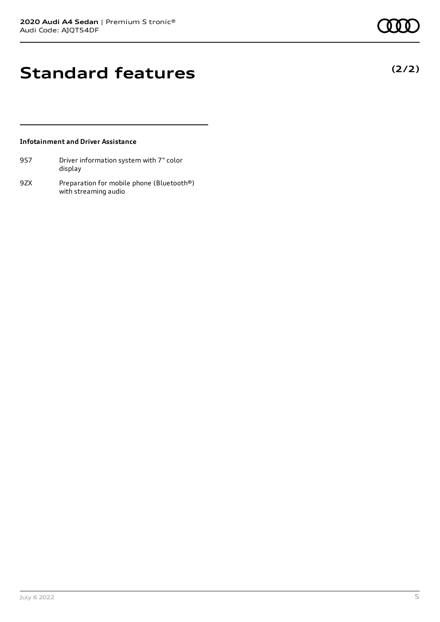# **Standard features**

### **Infotainment and Driver Assistance**

- 9S7 Driver information system with 7" color display
- 9ZX Preparation for mobile phone (Bluetooth®) with streaming audio

July 6 2022 5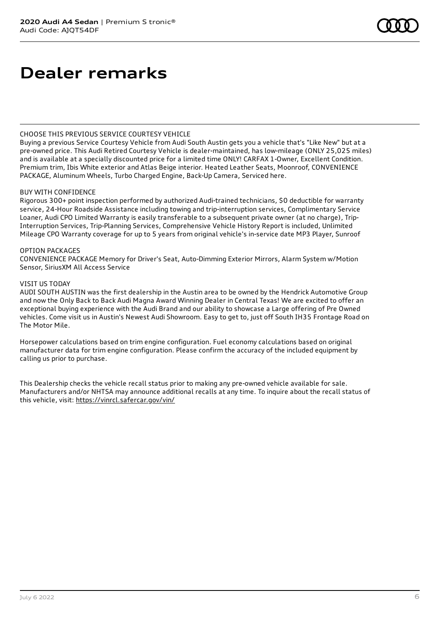### **Dealer remarks**

### CHOOSE THIS PREVIOUS SERVICE COURTESY VEHICLE

Buying a previous Service Courtesy Vehicle from Audi South Austin gets you a vehicle that's "Like New" but at a pre-owned price. This Audi Retired Courtesy Vehicle is dealer-maintained, has low-mileage (ONLY 25,025 miles) and is available at a specially discounted price for a limited time ONLY! CARFAX 1-Owner, Excellent Condition. Premium trim, Ibis White exterior and Atlas Beige interior. Heated Leather Seats, Moonroof, CONVENIENCE PACKAGE, Aluminum Wheels, Turbo Charged Engine, Back-Up Camera, Serviced here.

### BUY WITH CONFIDENCE

Rigorous 300+ point inspection performed by authorized Audi-trained technicians, \$0 deductible for warranty service, 24-Hour Roadside Assistance including towing and trip-interruption services, Complimentary Service Loaner, Audi CPO Limited Warranty is easily transferable to a subsequent private owner (at no charge), Trip-Interruption Services, Trip-Planning Services, Comprehensive Vehicle History Report is included, Unlimited Mileage CPO Warranty coverage for up to 5 years from original vehicle's in-service date MP3 Player, Sunroof

### OPTION PACKAGES

CONVENIENCE PACKAGE Memory for Driver's Seat, Auto-Dimming Exterior Mirrors, Alarm System w/Motion Sensor, SiriusXM All Access Service

#### VISIT US TODAY

AUDI SOUTH AUSTIN was the first dealership in the Austin area to be owned by the Hendrick Automotive Group and now the Only Back to Back Audi Magna Award Winning Dealer in Central Texas! We are excited to offer an exceptional buying experience with the Audi Brand and our ability to showcase a Large offering of Pre Owned vehicles. Come visit us in Austin's Newest Audi Showroom. Easy to get to, just off South IH35 Frontage Road on The Motor Mile.

Horsepower calculations based on trim engine configuration. Fuel economy calculations based on original manufacturer data for trim engine configuration. Please confirm the accuracy of the included equipment by calling us prior to purchase.

This Dealership checks the vehicle recall status prior to making any pre-owned vehicle available for sale. Manufacturers and/or NHTSA may announce additional recalls at any time. To inquire about the recall status of this vehicle, visit: <https://vinrcl.safercar.gov/vin/>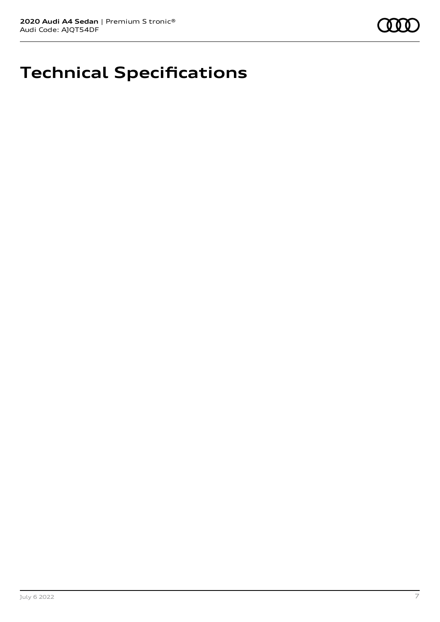

# **Technical Specifications**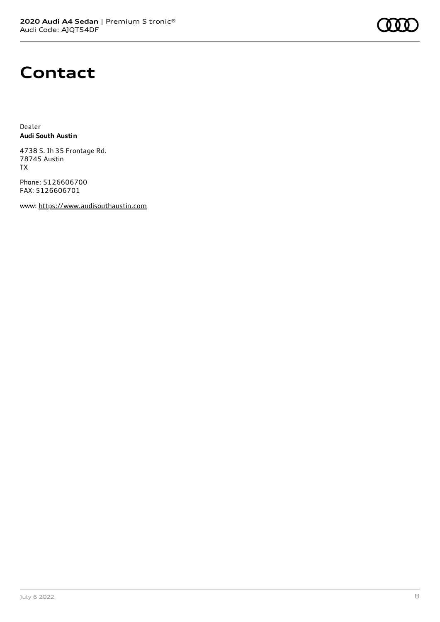## **Contact**

Dealer **Audi South Austin**

4738 S. Ih 35 Frontage Rd. 78745 Austin TX

Phone: 5126606700 FAX: 5126606701

www: [https://www.audisouthaustin.com](https://www.audisouthaustin.com/)